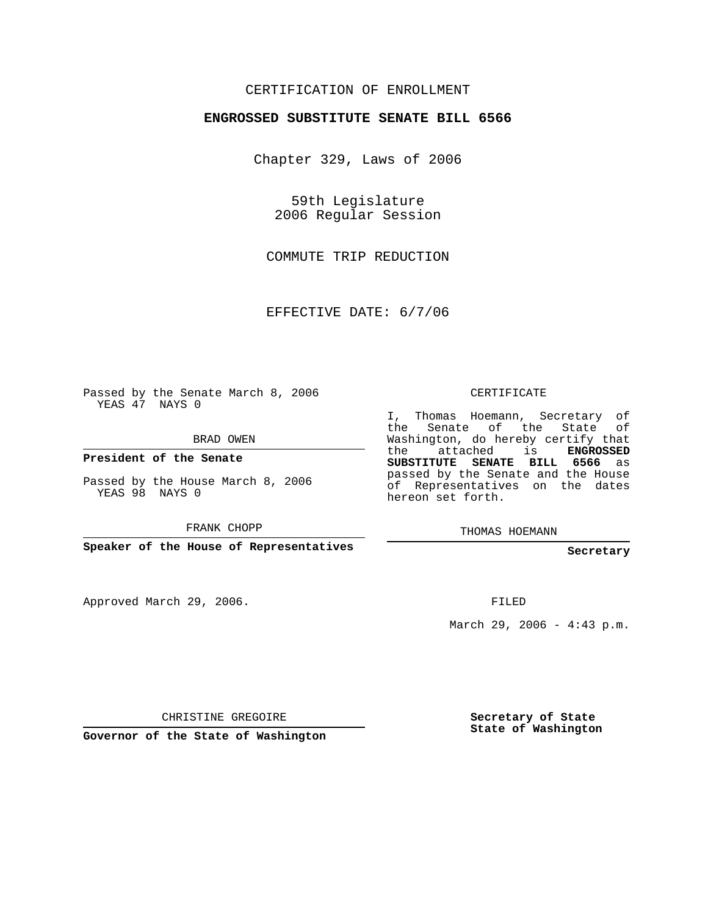## CERTIFICATION OF ENROLLMENT

#### **ENGROSSED SUBSTITUTE SENATE BILL 6566**

Chapter 329, Laws of 2006

59th Legislature 2006 Regular Session

COMMUTE TRIP REDUCTION

EFFECTIVE DATE: 6/7/06

Passed by the Senate March 8, 2006 YEAS 47 NAYS 0

BRAD OWEN

**President of the Senate**

Passed by the House March 8, 2006 YEAS 98 NAYS 0

FRANK CHOPP

**Speaker of the House of Representatives**

Approved March 29, 2006.

CERTIFICATE

I, Thomas Hoemann, Secretary of the Senate of the State of Washington, do hereby certify that the attached is **ENGROSSED SUBSTITUTE SENATE BILL 6566** as passed by the Senate and the House of Representatives on the dates hereon set forth.

THOMAS HOEMANN

**Secretary**

FILED

March 29, 2006 - 4:43 p.m.

CHRISTINE GREGOIRE

**Governor of the State of Washington**

**Secretary of State State of Washington**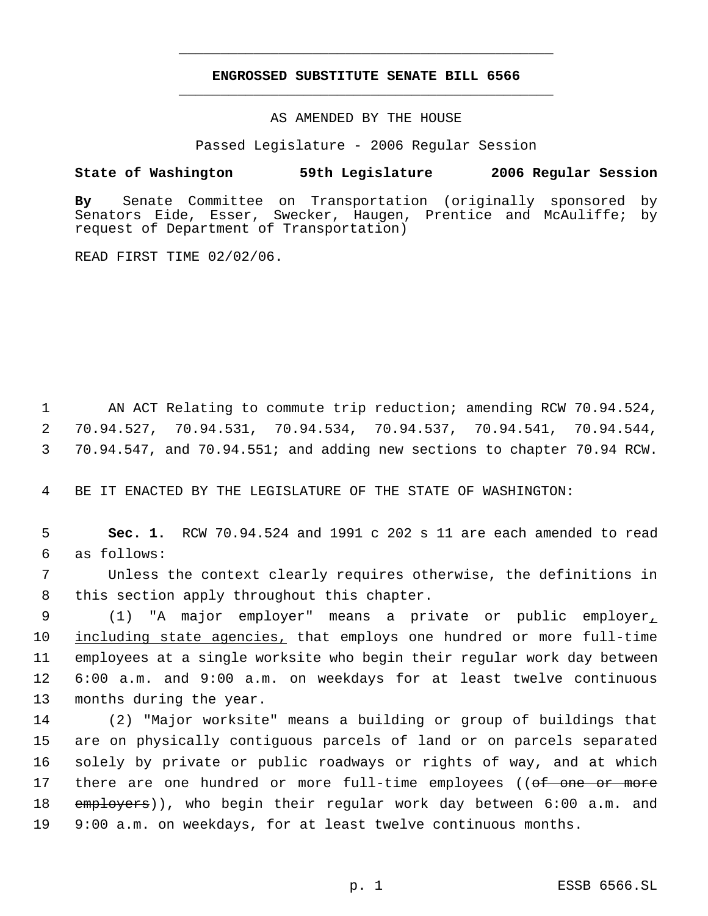## **ENGROSSED SUBSTITUTE SENATE BILL 6566** \_\_\_\_\_\_\_\_\_\_\_\_\_\_\_\_\_\_\_\_\_\_\_\_\_\_\_\_\_\_\_\_\_\_\_\_\_\_\_\_\_\_\_\_\_

\_\_\_\_\_\_\_\_\_\_\_\_\_\_\_\_\_\_\_\_\_\_\_\_\_\_\_\_\_\_\_\_\_\_\_\_\_\_\_\_\_\_\_\_\_

AS AMENDED BY THE HOUSE

Passed Legislature - 2006 Regular Session

### **State of Washington 59th Legislature 2006 Regular Session**

**By** Senate Committee on Transportation (originally sponsored by Senators Eide, Esser, Swecker, Haugen, Prentice and McAuliffe; by request of Department of Transportation)

READ FIRST TIME 02/02/06.

 1 AN ACT Relating to commute trip reduction; amending RCW 70.94.524, 2 70.94.527, 70.94.531, 70.94.534, 70.94.537, 70.94.541, 70.94.544, 3 70.94.547, and 70.94.551; and adding new sections to chapter 70.94 RCW.

4 BE IT ENACTED BY THE LEGISLATURE OF THE STATE OF WASHINGTON:

 5 **Sec. 1.** RCW 70.94.524 and 1991 c 202 s 11 are each amended to read 6 as follows:

 7 Unless the context clearly requires otherwise, the definitions in 8 this section apply throughout this chapter.

 (1) "A major employer" means a private or public employer, including state agencies, that employs one hundred or more full-time employees at a single worksite who begin their regular work day between 6:00 a.m. and 9:00 a.m. on weekdays for at least twelve continuous months during the year.

 (2) "Major worksite" means a building or group of buildings that are on physically contiguous parcels of land or on parcels separated solely by private or public roadways or rights of way, and at which 17 there are one hundred or more full-time employees ((of one or more 18 employers)), who begin their regular work day between 6:00 a.m. and 9:00 a.m. on weekdays, for at least twelve continuous months.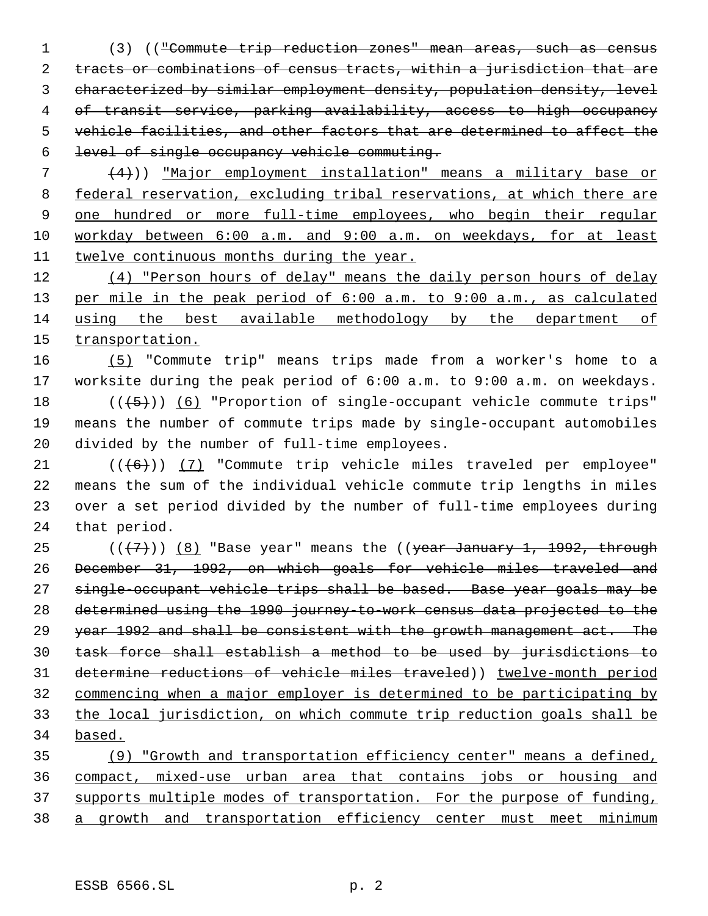(3) (("Commute trip reduction zones" mean areas, such as census tracts or combinations of census tracts, within a jurisdiction that are characterized by similar employment density, population density, level of transit service, parking availability, access to high occupancy vehicle facilities, and other factors that are determined to affect the level of single occupancy vehicle commuting.

 $(4)$ )) "Major employment installation" means a military base or federal reservation, excluding tribal reservations, at which there are one hundred or more full-time employees, who begin their regular workday between 6:00 a.m. and 9:00 a.m. on weekdays, for at least twelve continuous months during the year.

 (4) "Person hours of delay" means the daily person hours of delay per mile in the peak period of 6:00 a.m. to 9:00 a.m., as calculated using the best available methodology by the department of 15 transportation.

 (5) "Commute trip" means trips made from a worker's home to a worksite during the peak period of 6:00 a.m. to 9:00 a.m. on weekdays.  $((+5))$   $(6)$  "Proportion of single-occupant vehicle commute trips" means the number of commute trips made by single-occupant automobiles divided by the number of full-time employees.

 $(1 + 6)$ ) (7) "Commute trip vehicle miles traveled per employee" means the sum of the individual vehicle commute trip lengths in miles over a set period divided by the number of full-time employees during that period.

 $((+7))$   $(8)$  "Base year" means the  $($  (year January 1, 1992, through December 31, 1992, on which goals for vehicle miles traveled and single-occupant vehicle trips shall be based. Base year goals may be determined using the 1990 journey-to-work census data projected to the 29 year 1992 and shall be consistent with the growth management act. The task force shall establish a method to be used by jurisdictions to determine reductions of vehicle miles traveled)) twelve-month period commencing when a major employer is determined to be participating by the local jurisdiction, on which commute trip reduction goals shall be based.

 (9) "Growth and transportation efficiency center" means a defined, compact, mixed-use urban area that contains jobs or housing and supports multiple modes of transportation. For the purpose of funding, a growth and transportation efficiency center must meet minimum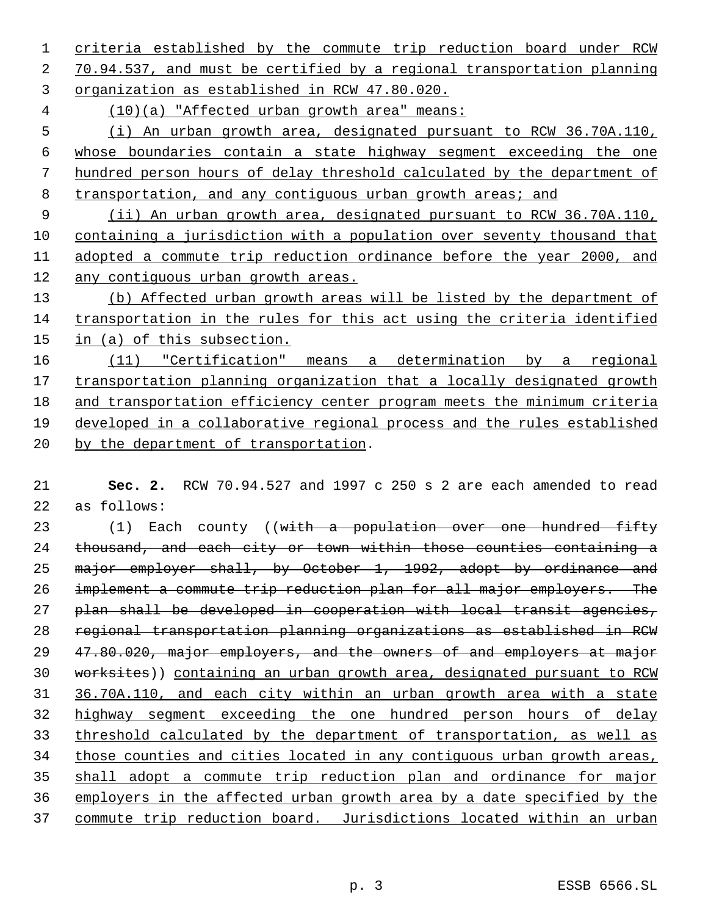criteria established by the commute trip reduction board under RCW 70.94.537, and must be certified by a regional transportation planning organization as established in RCW 47.80.020.

(10)(a) "Affected urban growth area" means:

 (i) An urban growth area, designated pursuant to RCW 36.70A.110, whose boundaries contain a state highway segment exceeding the one hundred person hours of delay threshold calculated by the department of 8 transportation, and any contiguous urban growth areas; and

 (ii) An urban growth area, designated pursuant to RCW 36.70A.110, containing a jurisdiction with a population over seventy thousand that adopted a commute trip reduction ordinance before the year 2000, and any contiguous urban growth areas.

 (b) Affected urban growth areas will be listed by the department of transportation in the rules for this act using the criteria identified in (a) of this subsection.

 (11) "Certification" means a determination by a regional 17 transportation planning organization that a locally designated growth and transportation efficiency center program meets the minimum criteria developed in a collaborative regional process and the rules established by the department of transportation.

 **Sec. 2.** RCW 70.94.527 and 1997 c 250 s 2 are each amended to read as follows:

23 (1) Each county ((with a population over one hundred fifty thousand, and each city or town within those counties containing a 25 major employer shall, by October 1, 1992, adopt by ordinance and implement a commute trip reduction plan for all major employers. The 27 plan shall be developed in cooperation with local transit agencies, regional transportation planning organizations as established in RCW 47.80.020, major employers, and the owners of and employers at major 30 worksites)) containing an urban growth area, designated pursuant to RCW 36.70A.110, and each city within an urban growth area with a state highway segment exceeding the one hundred person hours of delay threshold calculated by the department of transportation, as well as 34 those counties and cities located in any contiguous urban growth areas, shall adopt a commute trip reduction plan and ordinance for major employers in the affected urban growth area by a date specified by the commute trip reduction board. Jurisdictions located within an urban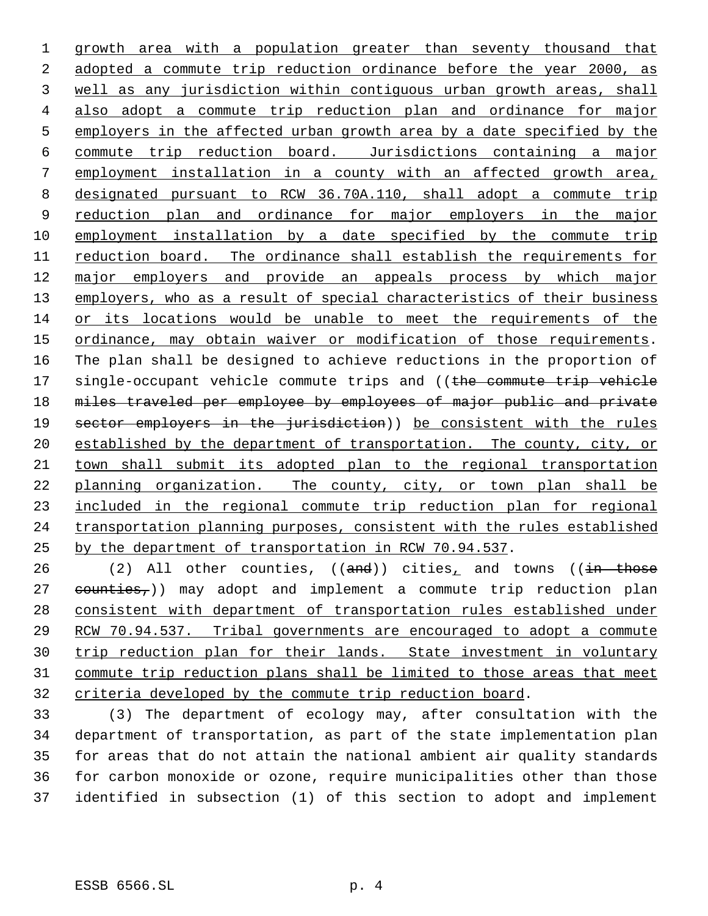growth area with a population greater than seventy thousand that adopted a commute trip reduction ordinance before the year 2000, as well as any jurisdiction within contiguous urban growth areas, shall also adopt a commute trip reduction plan and ordinance for major employers in the affected urban growth area by a date specified by the commute trip reduction board. Jurisdictions containing a major employment installation in a county with an affected growth area, designated pursuant to RCW 36.70A.110, shall adopt a commute trip 9 reduction plan and ordinance for major employers in the major employment installation by a date specified by the commute trip reduction board. The ordinance shall establish the requirements for major employers and provide an appeals process by which major 13 employers, who as a result of special characteristics of their business or its locations would be unable to meet the requirements of the ordinance, may obtain waiver or modification of those requirements. The plan shall be designed to achieve reductions in the proportion of 17 single-occupant vehicle commute trips and ((the commute trip vehicle 18 miles traveled per employee by employees of major public and private 19 sector employers in the jurisdiction)) be consistent with the rules 20 established by the department of transportation. The county, city, or town shall submit its adopted plan to the regional transportation planning organization. The county, city, or town plan shall be included in the regional commute trip reduction plan for regional transportation planning purposes, consistent with the rules established by the department of transportation in RCW 70.94.537.

26 (2) All other counties,  $((and))$  cities<sub> $\bot$ </sub> and towns  $((in - those)$ 27 counties,)) may adopt and implement a commute trip reduction plan consistent with department of transportation rules established under RCW 70.94.537. Tribal governments are encouraged to adopt a commute trip reduction plan for their lands. State investment in voluntary commute trip reduction plans shall be limited to those areas that meet criteria developed by the commute trip reduction board.

 (3) The department of ecology may, after consultation with the department of transportation, as part of the state implementation plan for areas that do not attain the national ambient air quality standards for carbon monoxide or ozone, require municipalities other than those identified in subsection (1) of this section to adopt and implement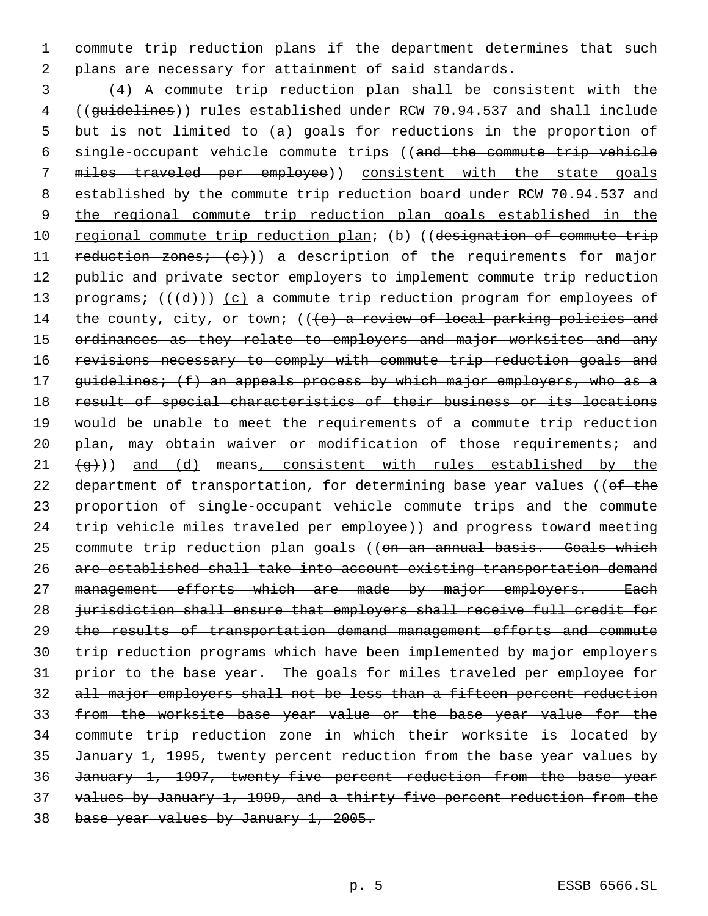commute trip reduction plans if the department determines that such plans are necessary for attainment of said standards.

 (4) A commute trip reduction plan shall be consistent with the 4 ((guidelines)) rules established under RCW 70.94.537 and shall include but is not limited to (a) goals for reductions in the proportion of single-occupant vehicle commute trips ((and the commute trip vehicle miles traveled per employee)) consistent with the state goals established by the commute trip reduction board under RCW 70.94.537 and the regional commute trip reduction plan goals established in the 10 regional commute trip reduction plan; (b) ((designation of commute trip 11 reduction zones; (c))) a description of the requirements for major public and private sector employers to implement commute trip reduction 13 programs;  $((\{d\}))(c)$  a commute trip reduction program for employees of 14 the county, city, or town;  $((e)$  a review of local parking policies and 15 ordinances as they relate to employers and major worksites and any 16 revisions necessary to comply with commute trip reduction goals and 17 guidelines; (f) an appeals process by which major employers, who as a result of special characteristics of their business or its locations would be unable to meet the requirements of a commute trip reduction 20 plan, may obtain waiver or modification of those requirements; and  $\left(4\right)$ ) and (d) means, consistent with rules established by the 22 department of transportation, for determining base year values ((of the proportion of single-occupant vehicle commute trips and the commute 24 trip vehicle miles traveled per employee)) and progress toward meeting 25 commute trip reduction plan goals ((on an annual basis. Goals which are established shall take into account existing transportation demand 27 management efforts which are made by major employers. Each 28 jurisdiction shall ensure that employers shall receive full credit for the results of transportation demand management efforts and commute trip reduction programs which have been implemented by major employers prior to the base year. The goals for miles traveled per employee for all major employers shall not be less than a fifteen percent reduction from the worksite base year value or the base year value for the commute trip reduction zone in which their worksite is located by January 1, 1995, twenty percent reduction from the base year values by January 1, 1997, twenty-five percent reduction from the base year values by January 1, 1999, and a thirty-five percent reduction from the base year values by January 1, 2005.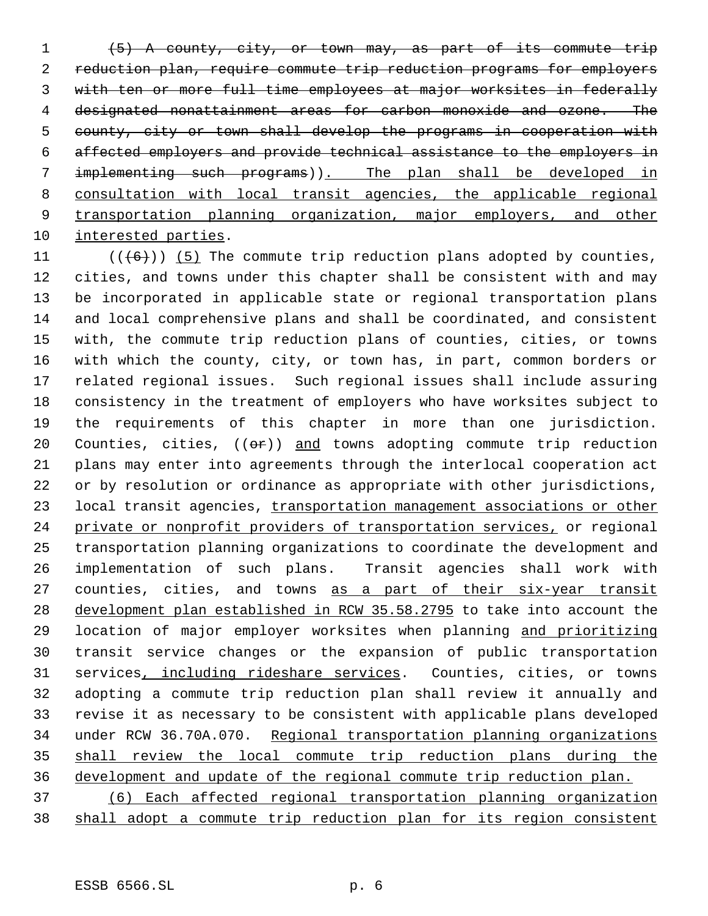(5) A county, city, or town may, as part of its commute trip reduction plan, require commute trip reduction programs for employers with ten or more full time employees at major worksites in federally designated nonattainment areas for carbon monoxide and ozone. The county, city or town shall develop the programs in cooperation with affected employers and provide technical assistance to the employers in implementing such programs)). The plan shall be developed in consultation with local transit agencies, the applicable regional transportation planning organization, major employers, and other interested parties.

 $((+6))$  (5) The commute trip reduction plans adopted by counties, cities, and towns under this chapter shall be consistent with and may be incorporated in applicable state or regional transportation plans and local comprehensive plans and shall be coordinated, and consistent with, the commute trip reduction plans of counties, cities, or towns with which the county, city, or town has, in part, common borders or related regional issues. Such regional issues shall include assuring consistency in the treatment of employers who have worksites subject to the requirements of this chapter in more than one jurisdiction. 20 Counties, cities,  $((\theta \hat{r}))$  and towns adopting commute trip reduction plans may enter into agreements through the interlocal cooperation act or by resolution or ordinance as appropriate with other jurisdictions, 23 local transit agencies, transportation management associations or other private or nonprofit providers of transportation services, or regional transportation planning organizations to coordinate the development and implementation of such plans. Transit agencies shall work with 27 counties, cities, and towns as a part of their six-year transit development plan established in RCW 35.58.2795 to take into account the location of major employer worksites when planning and prioritizing transit service changes or the expansion of public transportation 31 services, including rideshare services. Counties, cities, or towns adopting a commute trip reduction plan shall review it annually and revise it as necessary to be consistent with applicable plans developed under RCW 36.70A.070. Regional transportation planning organizations shall review the local commute trip reduction plans during the development and update of the regional commute trip reduction plan.

 (6) Each affected regional transportation planning organization shall adopt a commute trip reduction plan for its region consistent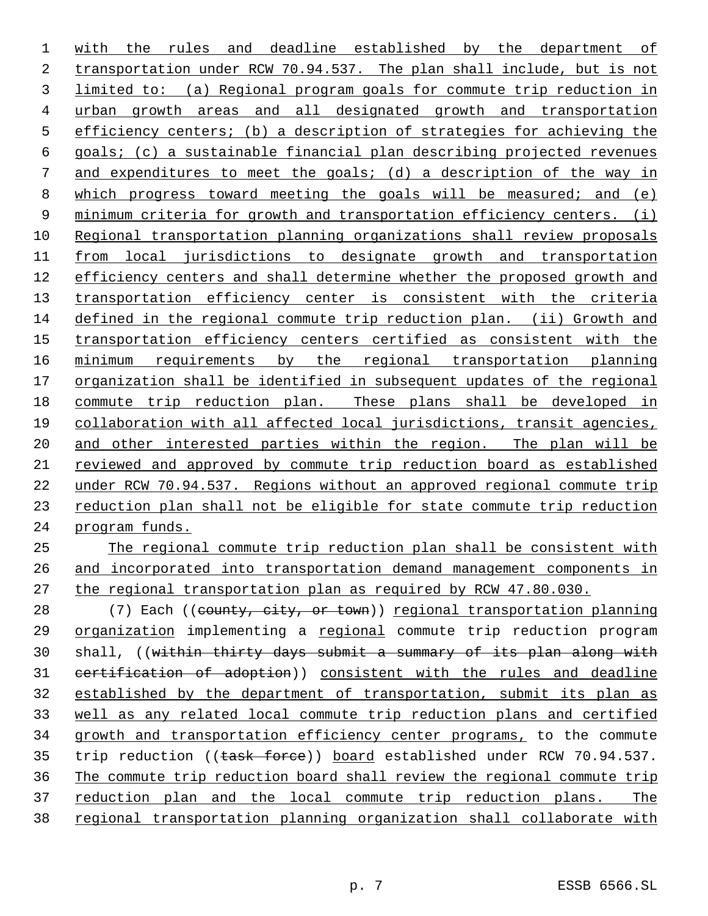with the rules and deadline established by the department of transportation under RCW 70.94.537. The plan shall include, but is not limited to: (a) Regional program goals for commute trip reduction in urban growth areas and all designated growth and transportation efficiency centers; (b) a description of strategies for achieving the goals; (c) a sustainable financial plan describing projected revenues 7 and expenditures to meet the goals; (d) a description of the way in which progress toward meeting the goals will be measured; and (e) 9 minimum criteria for growth and transportation efficiency centers. (i) Regional transportation planning organizations shall review proposals from local jurisdictions to designate growth and transportation efficiency centers and shall determine whether the proposed growth and 13 transportation efficiency center is consistent with the criteria defined in the regional commute trip reduction plan. (ii) Growth and 15 transportation efficiency centers certified as consistent with the minimum requirements by the regional transportation planning organization shall be identified in subsequent updates of the regional commute trip reduction plan. These plans shall be developed in collaboration with all affected local jurisdictions, transit agencies, and other interested parties within the region. The plan will be reviewed and approved by commute trip reduction board as established under RCW 70.94.537. Regions without an approved regional commute trip reduction plan shall not be eligible for state commute trip reduction program funds. The regional commute trip reduction plan shall be consistent with

 and incorporated into transportation demand management components in the regional transportation plan as required by RCW 47.80.030.

28 (7) Each ((county, city, or town)) regional transportation planning organization implementing a regional commute trip reduction program shall, ((within thirty days submit a summary of its plan along with certification of adoption)) consistent with the rules and deadline established by the department of transportation, submit its plan as well as any related local commute trip reduction plans and certified growth and transportation efficiency center programs, to the commute 35 trip reduction ((task force)) board established under RCW 70.94.537. The commute trip reduction board shall review the regional commute trip reduction plan and the local commute trip reduction plans. The regional transportation planning organization shall collaborate with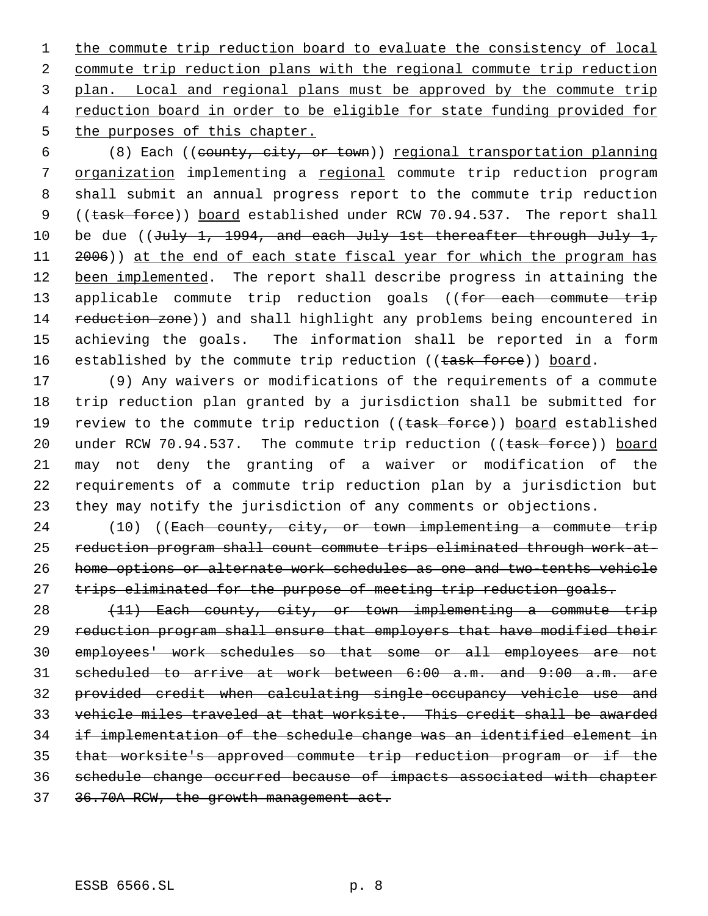1 the commute trip reduction board to evaluate the consistency of local 2 commute trip reduction plans with the regional commute trip reduction 3 plan. Local and regional plans must be approved by the commute trip 4 reduction board in order to be eligible for state funding provided for 5 the purposes of this chapter.

 6 (8) Each ((county, city, or town)) regional transportation planning 7 organization implementing a regional commute trip reduction program 8 shall submit an annual progress report to the commute trip reduction 9 ((task force)) board established under RCW 70.94.537. The report shall 10 be due ((July 1, 1994, and each July 1st thereafter through July 1, 11 2006)) at the end of each state fiscal year for which the program has 12 been implemented. The report shall describe progress in attaining the 13 applicable commute trip reduction goals ((for each commute trip 14 reduction zone)) and shall highlight any problems being encountered in 15 achieving the goals. The information shall be reported in a form 16 established by the commute trip reduction ((task force)) board.

 (9) Any waivers or modifications of the requirements of a commute trip reduction plan granted by a jurisdiction shall be submitted for 19 review to the commute trip reduction ((task force)) board established 20 under RCW 70.94.537. The commute trip reduction ((task force)) board may not deny the granting of a waiver or modification of the requirements of a commute trip reduction plan by a jurisdiction but they may notify the jurisdiction of any comments or objections.

 (10) ((Each county, city, or town implementing a commute trip reduction program shall count commute trips eliminated through work-at- home options or alternate work schedules as one and two-tenths vehicle 27 trips eliminated for the purpose of meeting trip reduction goals.

28 (11) Each county, city, or town implementing a commute trip reduction program shall ensure that employers that have modified their employees' work schedules so that some or all employees are not scheduled to arrive at work between 6:00 a.m. and 9:00 a.m. are provided credit when calculating single-occupancy vehicle use and vehicle miles traveled at that worksite. This credit shall be awarded if implementation of the schedule change was an identified element in that worksite's approved commute trip reduction program or if the schedule change occurred because of impacts associated with chapter 36.70A RCW, the growth management act.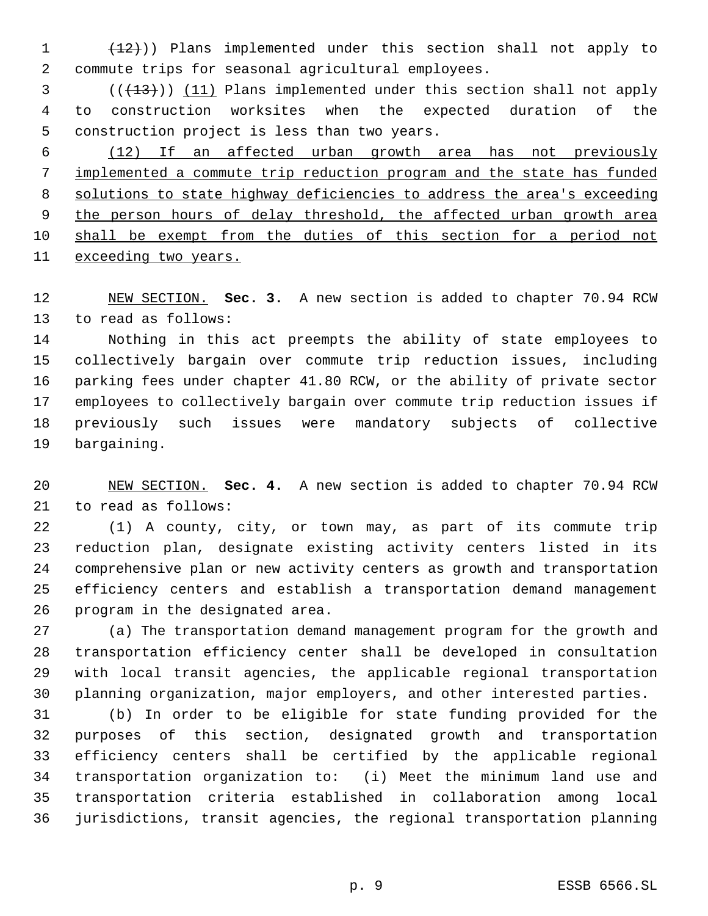(12))) Plans implemented under this section shall not apply to commute trips for seasonal agricultural employees.

 (( $\left(\frac{13}{13}\right)$ ) (11) Plans implemented under this section shall not apply to construction worksites when the expected duration of the construction project is less than two years.

 (12) If an affected urban growth area has not previously implemented a commute trip reduction program and the state has funded solutions to state highway deficiencies to address the area's exceeding 9 the person hours of delay threshold, the affected urban growth area shall be exempt from the duties of this section for a period not exceeding two years.

 NEW SECTION. **Sec. 3.** A new section is added to chapter 70.94 RCW to read as follows:

 Nothing in this act preempts the ability of state employees to collectively bargain over commute trip reduction issues, including parking fees under chapter 41.80 RCW, or the ability of private sector employees to collectively bargain over commute trip reduction issues if previously such issues were mandatory subjects of collective bargaining.

 NEW SECTION. **Sec. 4.** A new section is added to chapter 70.94 RCW to read as follows:

 (1) A county, city, or town may, as part of its commute trip reduction plan, designate existing activity centers listed in its comprehensive plan or new activity centers as growth and transportation efficiency centers and establish a transportation demand management program in the designated area.

 (a) The transportation demand management program for the growth and transportation efficiency center shall be developed in consultation with local transit agencies, the applicable regional transportation planning organization, major employers, and other interested parties.

 (b) In order to be eligible for state funding provided for the purposes of this section, designated growth and transportation efficiency centers shall be certified by the applicable regional transportation organization to: (i) Meet the minimum land use and transportation criteria established in collaboration among local jurisdictions, transit agencies, the regional transportation planning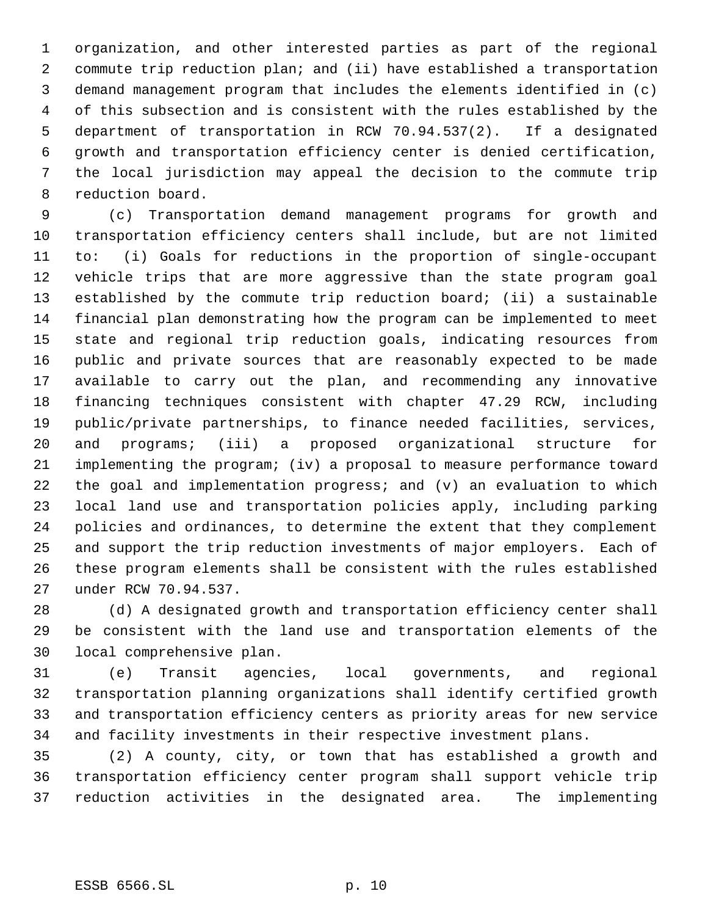organization, and other interested parties as part of the regional commute trip reduction plan; and (ii) have established a transportation demand management program that includes the elements identified in (c) of this subsection and is consistent with the rules established by the department of transportation in RCW 70.94.537(2). If a designated growth and transportation efficiency center is denied certification, the local jurisdiction may appeal the decision to the commute trip reduction board.

 (c) Transportation demand management programs for growth and transportation efficiency centers shall include, but are not limited to: (i) Goals for reductions in the proportion of single-occupant vehicle trips that are more aggressive than the state program goal established by the commute trip reduction board; (ii) a sustainable financial plan demonstrating how the program can be implemented to meet state and regional trip reduction goals, indicating resources from public and private sources that are reasonably expected to be made available to carry out the plan, and recommending any innovative financing techniques consistent with chapter 47.29 RCW, including public/private partnerships, to finance needed facilities, services, and programs; (iii) a proposed organizational structure for implementing the program; (iv) a proposal to measure performance toward the goal and implementation progress; and (v) an evaluation to which local land use and transportation policies apply, including parking policies and ordinances, to determine the extent that they complement and support the trip reduction investments of major employers. Each of these program elements shall be consistent with the rules established under RCW 70.94.537.

 (d) A designated growth and transportation efficiency center shall be consistent with the land use and transportation elements of the local comprehensive plan.

 (e) Transit agencies, local governments, and regional transportation planning organizations shall identify certified growth and transportation efficiency centers as priority areas for new service and facility investments in their respective investment plans.

 (2) A county, city, or town that has established a growth and transportation efficiency center program shall support vehicle trip reduction activities in the designated area. The implementing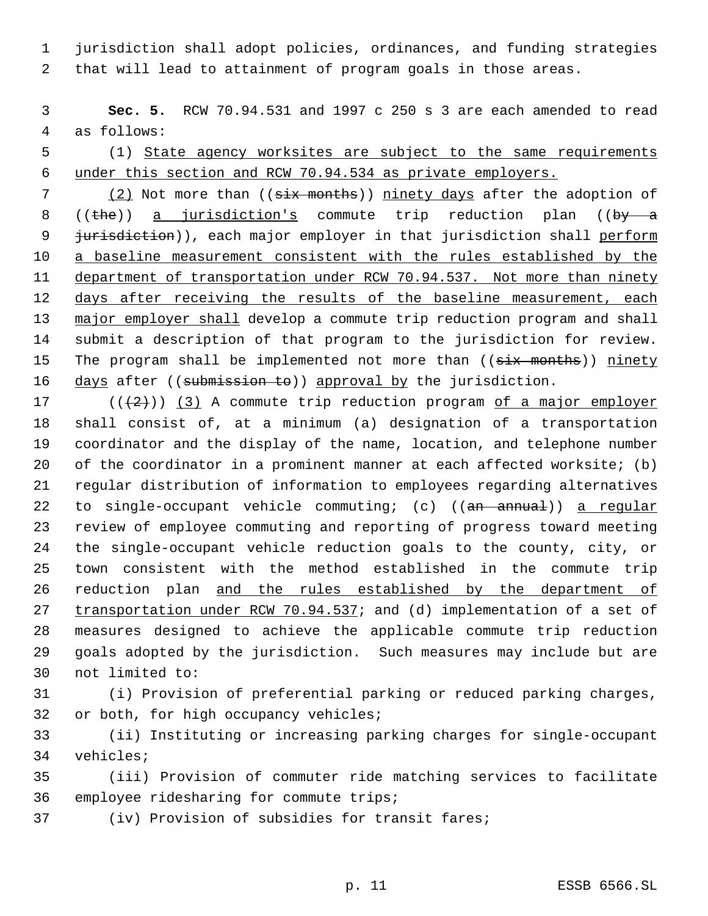jurisdiction shall adopt policies, ordinances, and funding strategies that will lead to attainment of program goals in those areas.

 **Sec. 5.** RCW 70.94.531 and 1997 c 250 s 3 are each amended to read as follows:

 (1) State agency worksites are subject to the same requirements under this section and RCW 70.94.534 as private employers.

7 (2) Not more than ((six months)) ninety days after the adoption of 8 ((the)) a jurisdiction's commute trip reduction plan ((by  $a$ 9 jurisdiction)), each major employer in that jurisdiction shall perform 10 a baseline measurement consistent with the rules established by the 11 department of transportation under RCW 70.94.537. Not more than ninety 12 days after receiving the results of the baseline measurement, each major employer shall develop a commute trip reduction program and shall submit a description of that program to the jurisdiction for review. 15 The program shall be implemented not more than ((six months)) ninety 16 days after ((submission to)) approval by the jurisdiction.

 $((+2)^{n})$  (3) A commute trip reduction program of a major employer shall consist of, at a minimum (a) designation of a transportation coordinator and the display of the name, location, and telephone number 20 of the coordinator in a prominent manner at each affected worksite; (b) regular distribution of information to employees regarding alternatives 22 to single-occupant vehicle commuting; (c) ((an annual)) a regular review of employee commuting and reporting of progress toward meeting the single-occupant vehicle reduction goals to the county, city, or town consistent with the method established in the commute trip reduction plan and the rules established by the department of 27 transportation under RCW 70.94.537; and (d) implementation of a set of measures designed to achieve the applicable commute trip reduction goals adopted by the jurisdiction. Such measures may include but are not limited to:

 (i) Provision of preferential parking or reduced parking charges, or both, for high occupancy vehicles;

 (ii) Instituting or increasing parking charges for single-occupant vehicles;

 (iii) Provision of commuter ride matching services to facilitate employee ridesharing for commute trips;

(iv) Provision of subsidies for transit fares;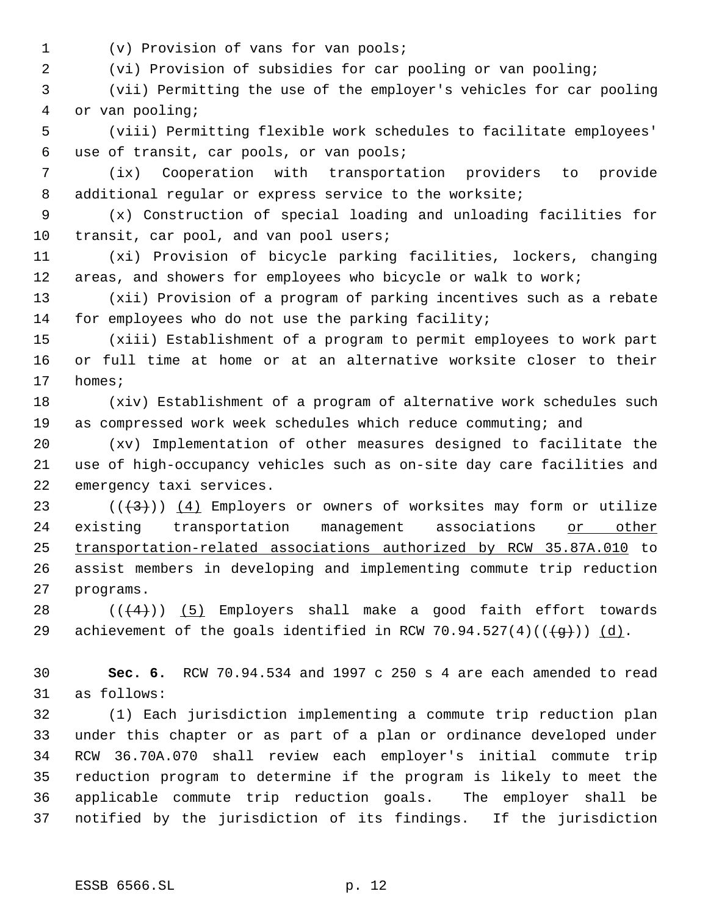(v) Provision of vans for van pools;

(vi) Provision of subsidies for car pooling or van pooling;

 (vii) Permitting the use of the employer's vehicles for car pooling or van pooling;

 (viii) Permitting flexible work schedules to facilitate employees' use of transit, car pools, or van pools;

 (ix) Cooperation with transportation providers to provide 8 additional regular or express service to the worksite;

 (x) Construction of special loading and unloading facilities for 10 transit, car pool, and van pool users;

 (xi) Provision of bicycle parking facilities, lockers, changing areas, and showers for employees who bicycle or walk to work;

 (xii) Provision of a program of parking incentives such as a rebate for employees who do not use the parking facility;

 (xiii) Establishment of a program to permit employees to work part or full time at home or at an alternative worksite closer to their homes;

 (xiv) Establishment of a program of alternative work schedules such as compressed work week schedules which reduce commuting; and

 (xv) Implementation of other measures designed to facilitate the use of high-occupancy vehicles such as on-site day care facilities and emergency taxi services.

23 ( $(\langle 3\rangle)$ )  $(4)$  Employers or owners of worksites may form or utilize 24 existing transportation management associations or other transportation-related associations authorized by RCW 35.87A.010 to assist members in developing and implementing commute trip reduction programs.

28  $((+4))$   $(5)$  Employers shall make a good faith effort towards 29 achievement of the goals identified in RCW 70.94.527(4)( $(\frac{4}{9})$ ) (d).

 **Sec. 6.** RCW 70.94.534 and 1997 c 250 s 4 are each amended to read as follows:

 (1) Each jurisdiction implementing a commute trip reduction plan under this chapter or as part of a plan or ordinance developed under RCW 36.70A.070 shall review each employer's initial commute trip reduction program to determine if the program is likely to meet the applicable commute trip reduction goals. The employer shall be notified by the jurisdiction of its findings. If the jurisdiction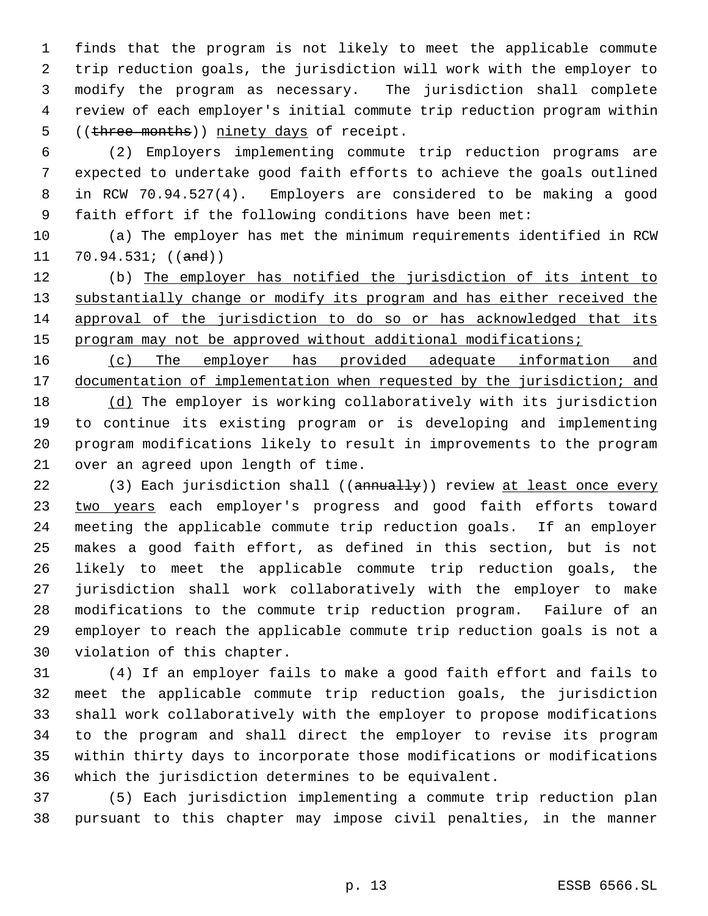finds that the program is not likely to meet the applicable commute trip reduction goals, the jurisdiction will work with the employer to modify the program as necessary. The jurisdiction shall complete review of each employer's initial commute trip reduction program within 5 ((three months)) ninety days of receipt.

 (2) Employers implementing commute trip reduction programs are expected to undertake good faith efforts to achieve the goals outlined in RCW 70.94.527(4). Employers are considered to be making a good faith effort if the following conditions have been met:

 (a) The employer has met the minimum requirements identified in RCW 11  $70.94.531$ ; ((and))

 (b) The employer has notified the jurisdiction of its intent to 13 substantially change or modify its program and has either received the approval of the jurisdiction to do so or has acknowledged that its 15 program may not be approved without additional modifications;

 (c) The employer has provided adequate information and 17 documentation of implementation when requested by the jurisdiction; and (d) The employer is working collaboratively with its jurisdiction to continue its existing program or is developing and implementing program modifications likely to result in improvements to the program over an agreed upon length of time.

22 (3) Each jurisdiction shall ((annually)) review at least once every 23 two years each employer's progress and good faith efforts toward meeting the applicable commute trip reduction goals. If an employer makes a good faith effort, as defined in this section, but is not likely to meet the applicable commute trip reduction goals, the jurisdiction shall work collaboratively with the employer to make modifications to the commute trip reduction program. Failure of an employer to reach the applicable commute trip reduction goals is not a violation of this chapter.

 (4) If an employer fails to make a good faith effort and fails to meet the applicable commute trip reduction goals, the jurisdiction shall work collaboratively with the employer to propose modifications to the program and shall direct the employer to revise its program within thirty days to incorporate those modifications or modifications which the jurisdiction determines to be equivalent.

 (5) Each jurisdiction implementing a commute trip reduction plan pursuant to this chapter may impose civil penalties, in the manner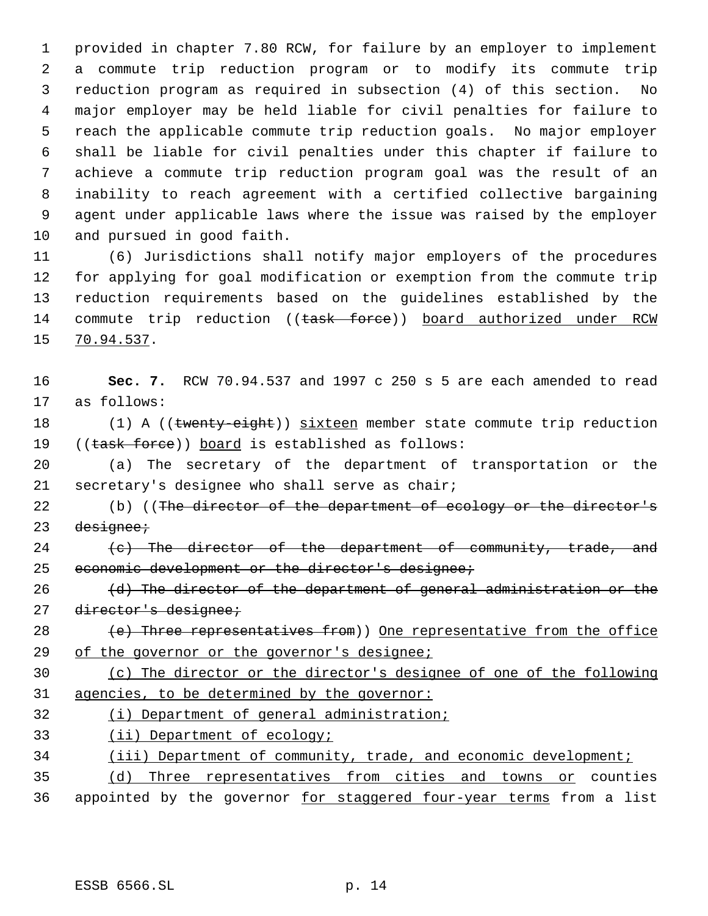provided in chapter 7.80 RCW, for failure by an employer to implement a commute trip reduction program or to modify its commute trip reduction program as required in subsection (4) of this section. No major employer may be held liable for civil penalties for failure to reach the applicable commute trip reduction goals. No major employer shall be liable for civil penalties under this chapter if failure to achieve a commute trip reduction program goal was the result of an inability to reach agreement with a certified collective bargaining agent under applicable laws where the issue was raised by the employer and pursued in good faith.

 (6) Jurisdictions shall notify major employers of the procedures for applying for goal modification or exemption from the commute trip reduction requirements based on the guidelines established by the 14 commute trip reduction ((task force)) board authorized under RCW 70.94.537.

| 16 | Sec. 7. RCW 70.94.537 and 1997 c 250 s 5 are each amended to read    |
|----|----------------------------------------------------------------------|
| 17 | as follows:                                                          |
| 18 | $(1)$ A ((twenty-eight)) sixteen member state commute trip reduction |
| 19 | ((task force)) board is established as follows:                      |
| 20 | (a) The secretary of the department of transportation or the         |
| 21 | secretary's designee who shall serve as chair;                       |
| 22 | (b) ((The director of the department of ecology or the director's    |
| 23 | designee;                                                            |
| 24 | (c) The director of the department of community, trade, and          |
| 25 | economic development or the director's designee;                     |
| 26 | (d) The director of the department of general administration or the  |
| 27 | director's designee;                                                 |
| 28 | (e) Three representatives from)) One representative from the office  |
| 29 | of the governor or the governor's designee;                          |
| 30 | (c) The director or the director's designee of one of the following  |
| 31 | agencies, to be determined by the governor:                          |
| 32 | (i) Department of general administration;                            |
| 33 | (ii) Department of ecology;                                          |
| 34 | (iii) Department of community, trade, and economic development;      |
| 35 | Three representatives from cities and towns or counties<br>(d)       |
| 36 | appointed by the governor for staggered four-year terms from a list  |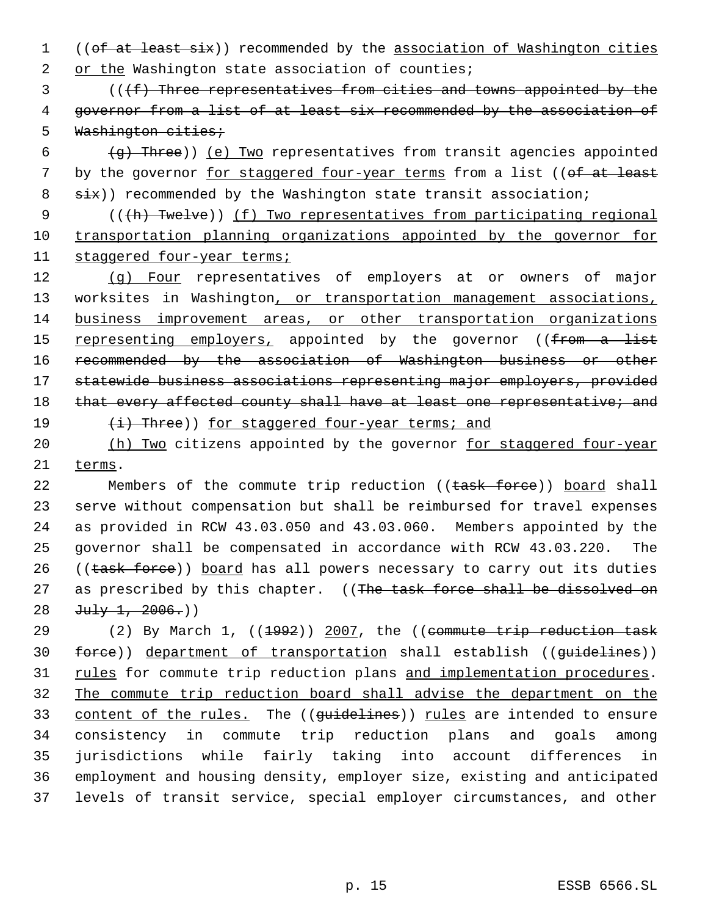1 ((of at least six)) recommended by the association of Washington cities 2 or the Washington state association of counties;

3 (((f) Three representatives from cities and towns appointed by the 4 governor from a list of at least six recommended by the association of 5 Washington cities;

6  $(g)$  Three)) (e) Two representatives from transit agencies appointed 7 by the governor for staggered four-year terms from a list ((of at least 8 six)) recommended by the Washington state transit association;

9 (((h) Twelve)) (f) Two representatives from participating regional 10 transportation planning organizations appointed by the governor for 11 staggered four-year terms;

12 (g) Four representatives of employers at or owners of major 13 worksites in Washington, or transportation management associations, 14 business improvement areas, or other transportation organizations 15 representing employers, appointed by the governor ((from a list 16 recommended by the association of Washington business or other 17 statewide business associations representing major employers, provided 18 that every affected county shall have at least one representative; and 19 (i) Three)) for staggered four-year terms; and

20 (h) Two citizens appointed by the governor for staggered four-year 21 terms.

22 Members of the commute trip reduction ((task force)) board shall 23 serve without compensation but shall be reimbursed for travel expenses 24 as provided in RCW 43.03.050 and 43.03.060. Members appointed by the 25 governor shall be compensated in accordance with RCW 43.03.220. The 26 ((task force)) board has all powers necessary to carry out its duties 27 as prescribed by this chapter. ((The task force shall be dissolved on 28  $Ju1y 1, 2006.$ )

29 (2) By March 1, ((1992)) 2007, the ((commute trip reduction task 30 force)) department of transportation shall establish ((guidelines)) 31 rules for commute trip reduction plans and implementation procedures. 32 The commute trip reduction board shall advise the department on the 33 content of the rules. The ((guidelines)) rules are intended to ensure 34 consistency in commute trip reduction plans and goals among 35 jurisdictions while fairly taking into account differences in 36 employment and housing density, employer size, existing and anticipated 37 levels of transit service, special employer circumstances, and other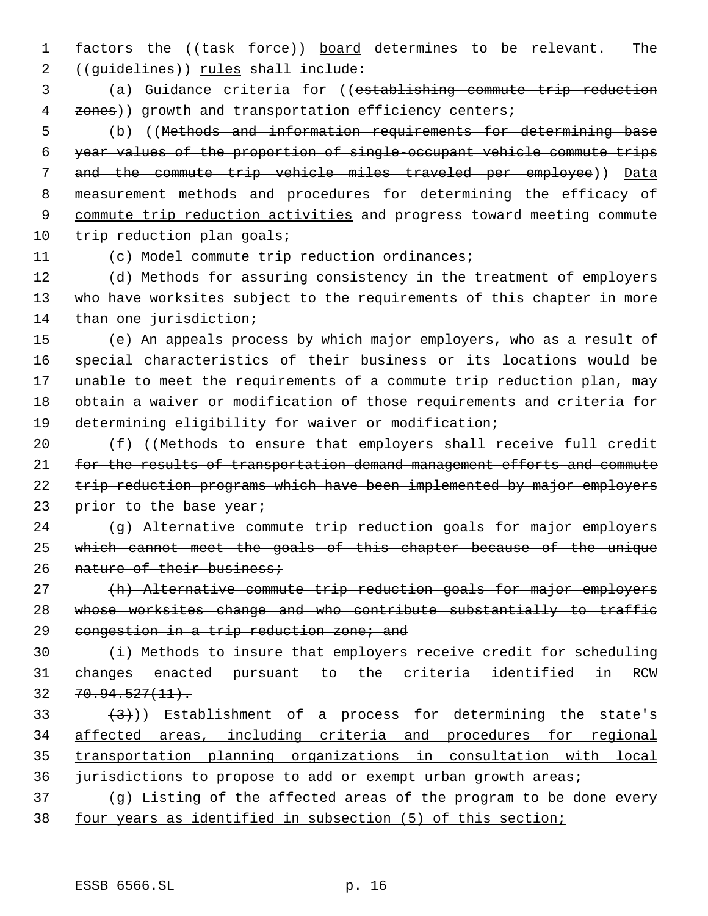1 factors the ((task force)) board determines to be relevant. The 2 ((guidelines)) rules shall include:

 3 (a) Guidance criteria for ((establishing commute trip reduction 4 zones)) growth and transportation efficiency centers;

 (b) ((Methods and information requirements for determining base year values of the proportion of single-occupant vehicle commute trips and the commute trip vehicle miles traveled per employee)) Data measurement methods and procedures for determining the efficacy of commute trip reduction activities and progress toward meeting commute 10 trip reduction plan goals;

11 (c) Model commute trip reduction ordinances;

12 (d) Methods for assuring consistency in the treatment of employers 13 who have worksites subject to the requirements of this chapter in more 14 than one jurisdiction;

 (e) An appeals process by which major employers, who as a result of special characteristics of their business or its locations would be unable to meet the requirements of a commute trip reduction plan, may obtain a waiver or modification of those requirements and criteria for determining eligibility for waiver or modification;

20 (f) ((Methods to ensure that employers shall receive full credit 21 for the results of transportation demand management efforts and commute 22 trip reduction programs which have been implemented by major employers 23 prior to the base year;

 $24$   $\left\{\right.$   $\left\{\right.$   $\right\}$  Alternative commute trip reduction goals for major employers 25 which cannot meet the goals of this chapter because of the unique 26 nature of their business;

27 (h) Alternative commute trip reduction goals for major employers 28 whose worksites change and who contribute substantially to traffic 29 congestion in a trip reduction zone; and

30 (i) Methods to insure that employers receive credit for scheduling 31 changes enacted pursuant to the criteria identified in RCW  $32 \quad 70.94.527(11).$ 

 $(3)$  Establishment of a process for determining the state's affected areas, including criteria and procedures for regional transportation planning organizations in consultation with local jurisdictions to propose to add or exempt urban growth areas;

37 (g) Listing of the affected areas of the program to be done every 38 four years as identified in subsection (5) of this section;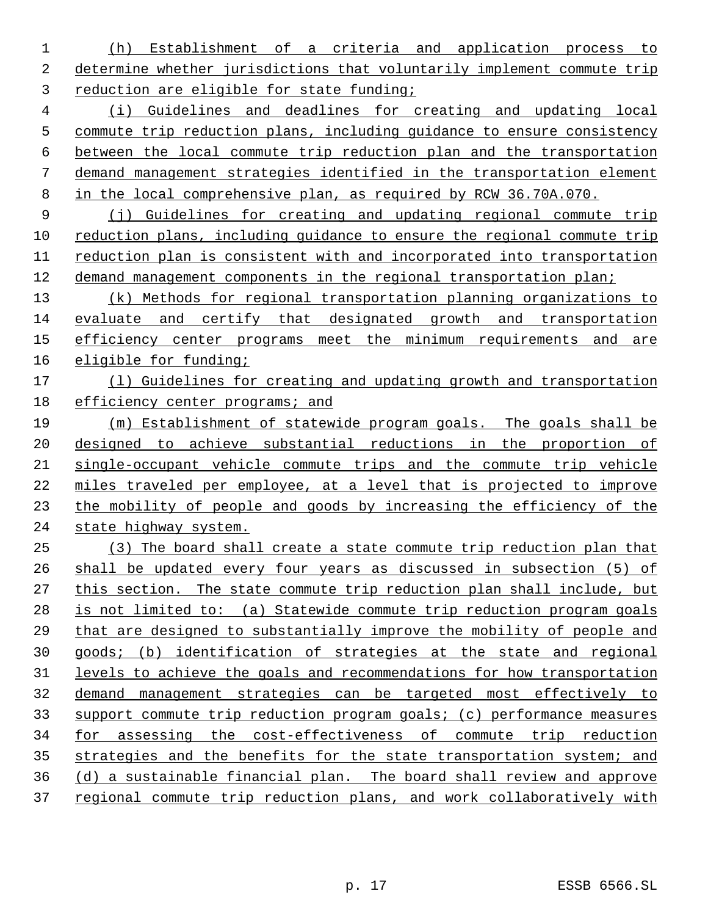(h) Establishment of a criteria and application process to determine whether jurisdictions that voluntarily implement commute trip reduction are eligible for state funding;

 (i) Guidelines and deadlines for creating and updating local commute trip reduction plans, including guidance to ensure consistency between the local commute trip reduction plan and the transportation demand management strategies identified in the transportation element in the local comprehensive plan, as required by RCW 36.70A.070.

 (j) Guidelines for creating and updating regional commute trip reduction plans, including guidance to ensure the regional commute trip reduction plan is consistent with and incorporated into transportation demand management components in the regional transportation plan;

 (k) Methods for regional transportation planning organizations to 14 evaluate and certify that designated growth and transportation 15 efficiency center programs meet the minimum requirements and are eligible for funding;

# (l) Guidelines for creating and updating growth and transportation 18 efficiency center programs; and

 (m) Establishment of statewide program goals. The goals shall be designed to achieve substantial reductions in the proportion of single-occupant vehicle commute trips and the commute trip vehicle miles traveled per employee, at a level that is projected to improve the mobility of people and goods by increasing the efficiency of the state highway system.

 (3) The board shall create a state commute trip reduction plan that shall be updated every four years as discussed in subsection (5) of this section. The state commute trip reduction plan shall include, but is not limited to: (a) Statewide commute trip reduction program goals that are designed to substantially improve the mobility of people and goods; (b) identification of strategies at the state and regional levels to achieve the goals and recommendations for how transportation demand management strategies can be targeted most effectively to support commute trip reduction program goals; (c) performance measures for assessing the cost-effectiveness of commute trip reduction 35 strategies and the benefits for the state transportation system; and (d) a sustainable financial plan. The board shall review and approve regional commute trip reduction plans, and work collaboratively with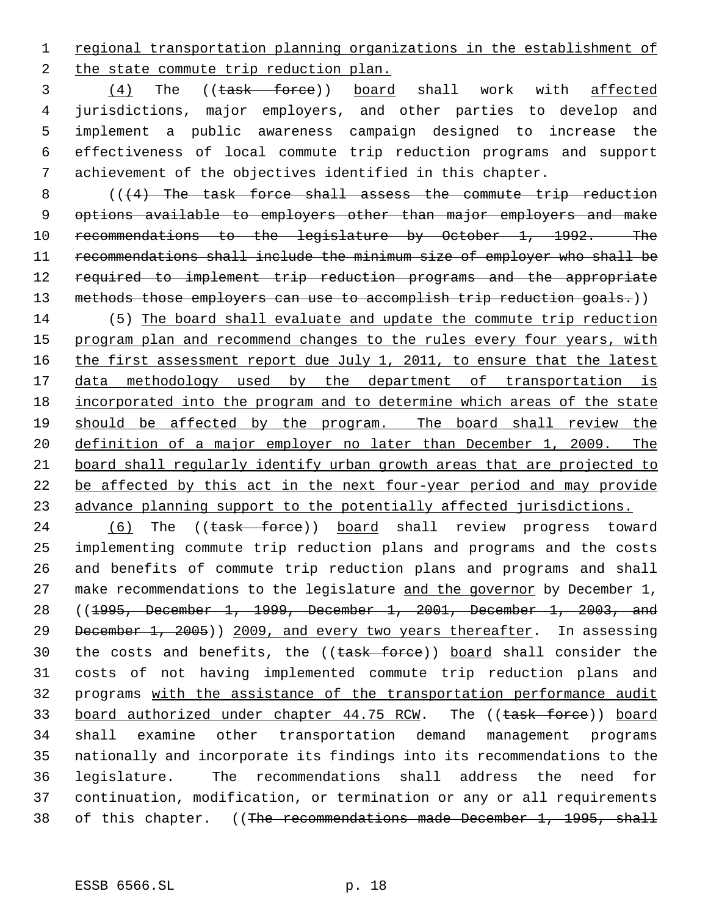regional transportation planning organizations in the establishment of the state commute trip reduction plan.

 (4) The ((task force)) board shall work with affected jurisdictions, major employers, and other parties to develop and implement a public awareness campaign designed to increase the effectiveness of local commute trip reduction programs and support achievement of the objectives identified in this chapter.

8 (((4) The task force shall assess the commute trip reduction options available to employers other than major employers and make 10 recommendations to the legislature by October 1, 1992. The recommendations shall include the minimum size of employer who shall be 12 required to implement trip reduction programs and the appropriate 13 methods those employers can use to accomplish trip reduction goals.))

 (5) The board shall evaluate and update the commute trip reduction 15 program plan and recommend changes to the rules every four years, with 16 the first assessment report due July 1, 2011, to ensure that the latest 17 data methodology used by the department of transportation is incorporated into the program and to determine which areas of the state should be affected by the program. The board shall review the definition of a major employer no later than December 1, 2009. The board shall regularly identify urban growth areas that are projected to be affected by this act in the next four-year period and may provide advance planning support to the potentially affected jurisdictions.

24 (6) The ((task force)) board shall review progress toward implementing commute trip reduction plans and programs and the costs and benefits of commute trip reduction plans and programs and shall 27 make recommendations to the legislature and the governor by December 1, ((1995, December 1, 1999, December 1, 2001, December 1, 2003, and 29 December 1, 2005)) 2009, and every two years thereafter. In assessing 30 the costs and benefits, the ((task force)) board shall consider the costs of not having implemented commute trip reduction plans and programs with the assistance of the transportation performance audit 33 board authorized under chapter 44.75 RCW. The ((task force)) board shall examine other transportation demand management programs nationally and incorporate its findings into its recommendations to the legislature. The recommendations shall address the need for continuation, modification, or termination or any or all requirements 38 of this chapter. ((The recommendations made December 1, 1995, shall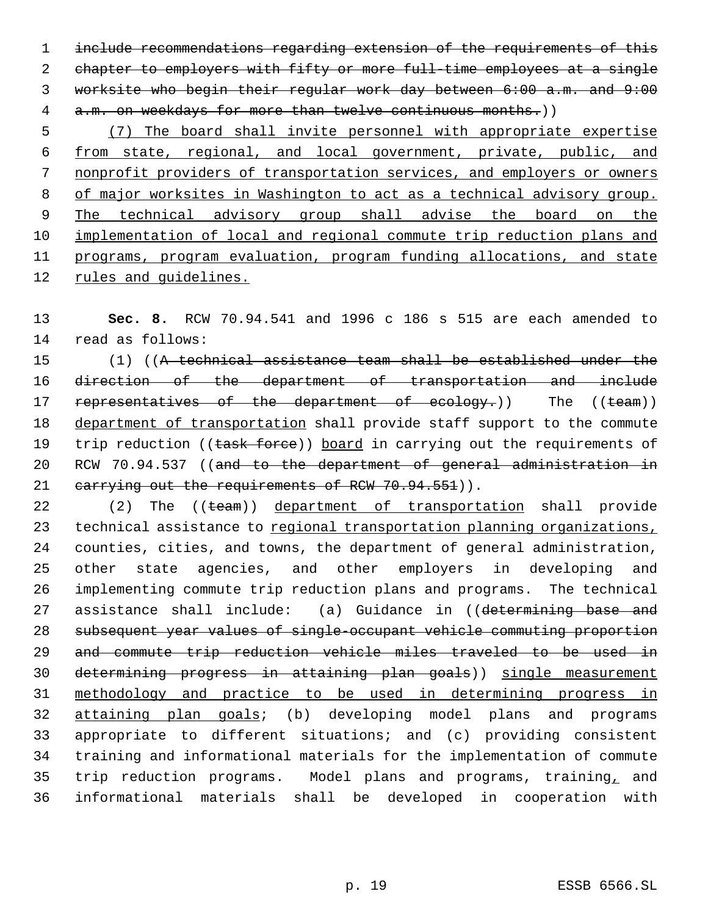include recommendations regarding extension of the requirements of this chapter to employers with fifty or more full-time employees at a single worksite who begin their regular work day between 6:00 a.m. and 9:00 4 a.m. on weekdays for more than twelve continuous months.))

 (7) The board shall invite personnel with appropriate expertise from state, regional, and local government, private, public, and nonprofit providers of transportation services, and employers or owners 8 of major worksites in Washington to act as a technical advisory group. 9 The technical advisory group shall advise the board on the implementation of local and regional commute trip reduction plans and programs, program evaluation, program funding allocations, and state rules and guidelines.

 **Sec. 8.** RCW 70.94.541 and 1996 c 186 s 515 are each amended to read as follows:

 (1) ((A technical assistance team shall be established under the direction of the department of transportation and include 17 representatives of the department of ecology.)) The ((team)) department of transportation shall provide staff support to the commute 19 trip reduction ((task force)) board in carrying out the requirements of RCW 70.94.537 ((and to the department of general administration in 21 carrying out the requirements of RCW 70.94.551)).

22 (2) The ((team)) department of transportation shall provide 23 technical assistance to regional transportation planning organizations, counties, cities, and towns, the department of general administration, other state agencies, and other employers in developing and implementing commute trip reduction plans and programs. The technical 27 assistance shall include: (a) Guidance in ((determining base and subsequent year values of single-occupant vehicle commuting proportion and commute trip reduction vehicle miles traveled to be used in determining progress in attaining plan goals)) single measurement methodology and practice to be used in determining progress in attaining plan goals; (b) developing model plans and programs appropriate to different situations; and (c) providing consistent training and informational materials for the implementation of commute 35 trip reduction programs. Model plans and programs, training, and informational materials shall be developed in cooperation with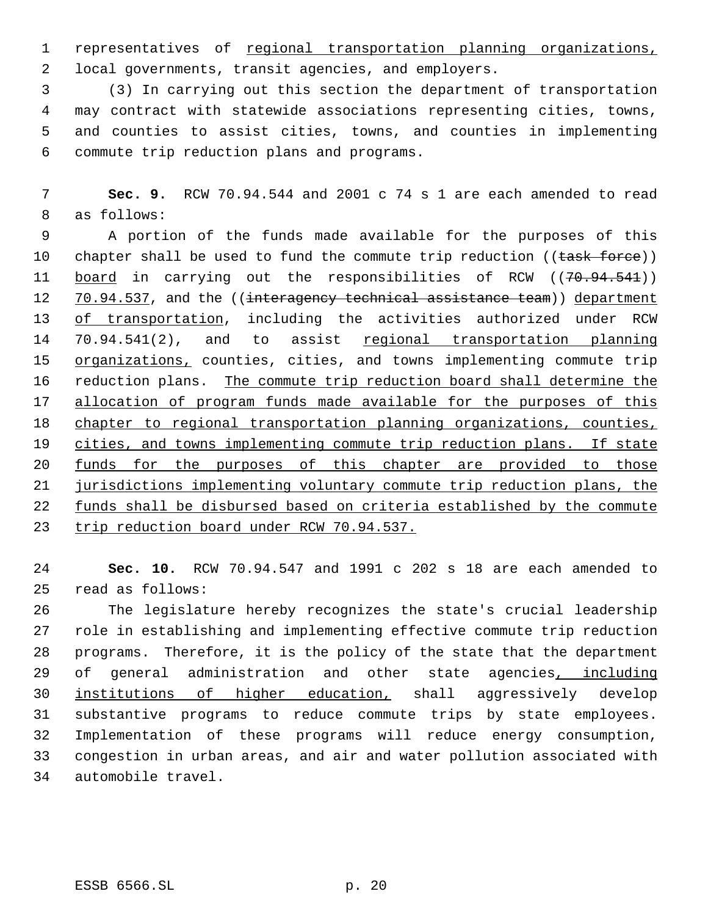representatives of regional transportation planning organizations, local governments, transit agencies, and employers.

 (3) In carrying out this section the department of transportation may contract with statewide associations representing cities, towns, and counties to assist cities, towns, and counties in implementing commute trip reduction plans and programs.

 **Sec. 9.** RCW 70.94.544 and 2001 c 74 s 1 are each amended to read as follows:

 A portion of the funds made available for the purposes of this 10 chapter shall be used to fund the commute trip reduction ( $(\text{task-force}))$ ) 11 board in carrying out the responsibilities of RCW ((70.94.541)) 12 70.94.537, and the ((interagency technical assistance team)) department of transportation, including the activities authorized under RCW 14 70.94.541(2), and to assist regional transportation planning 15 organizations, counties, cities, and towns implementing commute trip reduction plans. The commute trip reduction board shall determine the 17 allocation of program funds made available for the purposes of this chapter to regional transportation planning organizations, counties, 19 cities, and towns implementing commute trip reduction plans. If state funds for the purposes of this chapter are provided to those jurisdictions implementing voluntary commute trip reduction plans, the 22 funds shall be disbursed based on criteria established by the commute 23 trip reduction board under RCW 70.94.537.

 **Sec. 10.** RCW 70.94.547 and 1991 c 202 s 18 are each amended to read as follows:

 The legislature hereby recognizes the state's crucial leadership role in establishing and implementing effective commute trip reduction programs. Therefore, it is the policy of the state that the department 29 of general administration and other state agencies, including institutions of higher education, shall aggressively develop substantive programs to reduce commute trips by state employees. Implementation of these programs will reduce energy consumption, congestion in urban areas, and air and water pollution associated with automobile travel.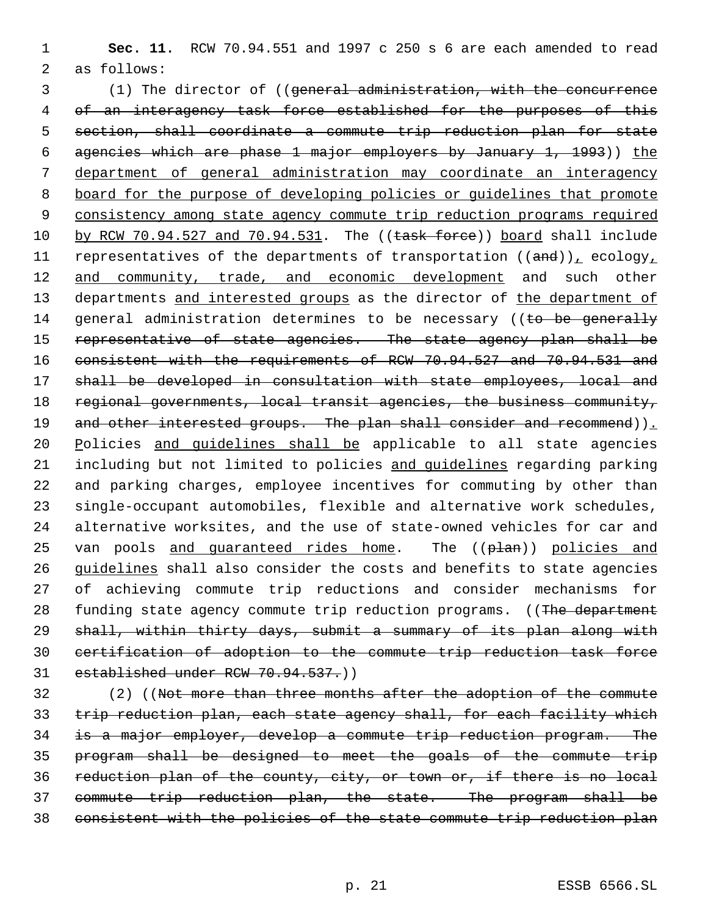1 **Sec. 11.** RCW 70.94.551 and 1997 c 250 s 6 are each amended to read 2 as follows:

 3 (1) The director of ((general administration, with the concurrence 4 of an interagency task force established for the purposes of this 5 section, shall coordinate a commute trip reduction plan for state 6 agencies which are phase 1 major employers by January 1, 1993)) the 7 department of general administration may coordinate an interagency 8 board for the purpose of developing policies or guidelines that promote 9 consistency among state agency commute trip reduction programs required 10 by RCW 70.94.527 and 70.94.531. The ((task force)) board shall include 11 representatives of the departments of transportation  $((and))_L$  ecology<sub>1</sub> 12 and community, trade, and economic development and such other 13 departments and interested groups as the director of the department of 14 general administration determines to be necessary ((to be generally 15 representative of state agencies. The state agency plan shall be 16 consistent with the requirements of RCW 70.94.527 and 70.94.531 and 17 shall be developed in consultation with state employees, local and 18 regional governments, local transit agencies, the business community, 19 and other interested groups. The plan shall consider and recommend)). 20 Policies and guidelines shall be applicable to all state agencies 21 including but not limited to policies and guidelines regarding parking 22 and parking charges, employee incentives for commuting by other than 23 single-occupant automobiles, flexible and alternative work schedules, 24 alternative worksites, and the use of state-owned vehicles for car and 25 van pools and quaranteed rides home. The ((plan)) policies and 26 guidelines shall also consider the costs and benefits to state agencies 27 of achieving commute trip reductions and consider mechanisms for 28 funding state agency commute trip reduction programs. ((The department 29 shall, within thirty days, submit a summary of its plan along with 30 certification of adoption to the commute trip reduction task force 31 established under RCW 70.94.537.)

 (2) ((Not more than three months after the adoption of the commute trip reduction plan, each state agency shall, for each facility which is a major employer, develop a commute trip reduction program. The program shall be designed to meet the goals of the commute trip reduction plan of the county, city, or town or, if there is no local commute trip reduction plan, the state. The program shall be consistent with the policies of the state commute trip reduction plan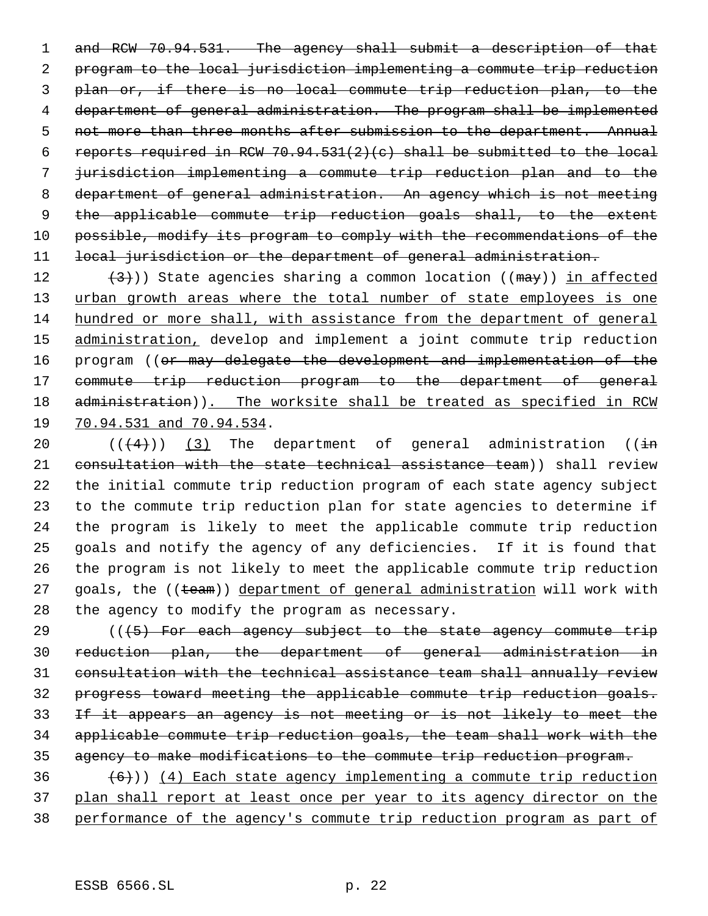1 and RCW 70.94.531. The agency shall submit a description of that program to the local jurisdiction implementing a commute trip reduction plan or, if there is no local commute trip reduction plan, to the department of general administration. The program shall be implemented 5 not more than three months after submission to the department. Annual 6 reports required in RCW 70.94.531(2)(c) shall be submitted to the local jurisdiction implementing a commute trip reduction plan and to the department of general administration. An agency which is not meeting 9 the applicable commute trip reduction goals shall, to the extent 10 possible, modify its program to comply with the recommendations of the 11 local jurisdiction or the department of general administration.

 $(3)$ )) State agencies sharing a common location (( $\text{max}$ )) in affected 13 urban growth areas where the total number of state employees is one hundred or more shall, with assistance from the department of general 15 administration, develop and implement a joint commute trip reduction program ((or may delegate the development and implementation of the commute trip reduction program to the department of general 18 administration)). The worksite shall be treated as specified in RCW 70.94.531 and 70.94.534.

 $((+4))$   $(3)$  The department of general administration ( $(i+n)$  consultation with the state technical assistance team)) shall review the initial commute trip reduction program of each state agency subject to the commute trip reduction plan for state agencies to determine if the program is likely to meet the applicable commute trip reduction goals and notify the agency of any deficiencies. If it is found that the program is not likely to meet the applicable commute trip reduction 27 goals, the ((team)) department of general administration will work with the agency to modify the program as necessary.

 ( $(\overline{\smash{+5}})$  For each agency subject to the state agency commute trip reduction plan, the department of general administration in consultation with the technical assistance team shall annually review progress toward meeting the applicable commute trip reduction goals. If it appears an agency is not meeting or is not likely to meet the applicable commute trip reduction goals, the team shall work with the agency to make modifications to the commute trip reduction program.

36  $(6)$ ) (4) Each state agency implementing a commute trip reduction plan shall report at least once per year to its agency director on the performance of the agency's commute trip reduction program as part of